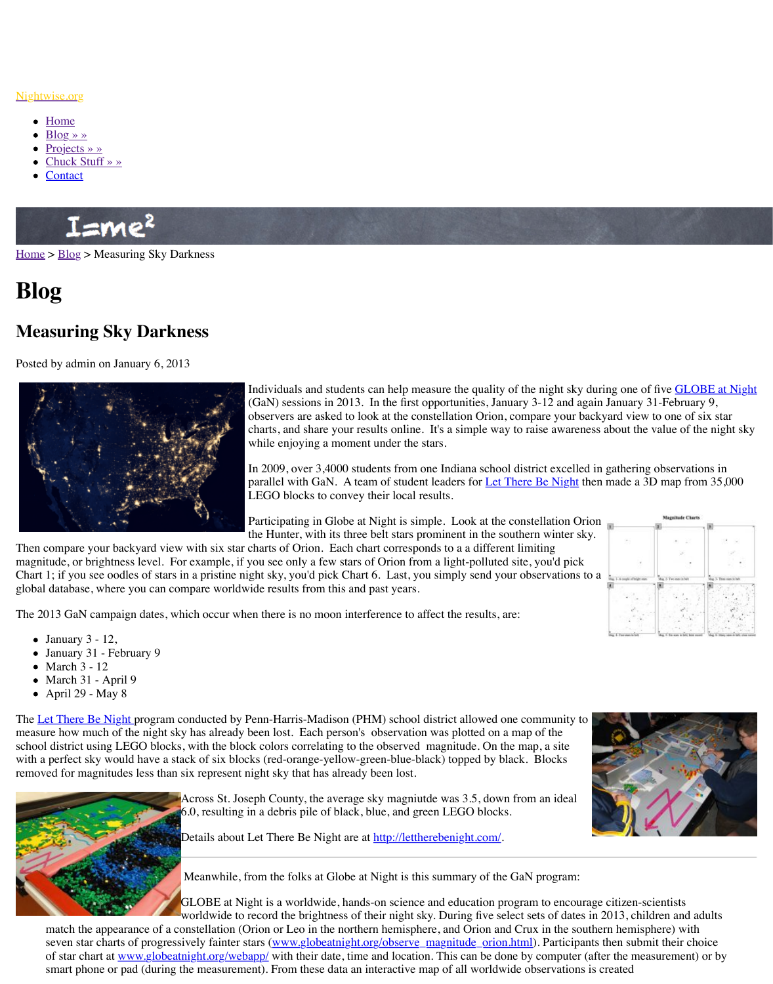

Individuals and students can help measure the quality of the night sky during one of five GLOBE at Night  $(GaN)$  sessions in 2013. In the first opportunity observers are asked to look at the constellation charts, and share your results online. It's a s while enjoying a moment under the stars.

In 2009, over 3,4000 students from one Indi parallel with GaN. A team of student leader LEGO blocks to convey their local results.

Participating in Globe at Night is simple. L the Hunter, with its three belt stars prominent in the southern with its shelt stars prominent sky.

Then [compare your ba](http://www.nightwise.org/chuck-stuff/)ckyard view with six star charts of Orion. Each chart corresponds to a magn[itude, or](http://www.nightwise.org/contact/) brightness level. For example, if you see only a few stars of Orion from a light-Chart 1; if you see oodles of stars in a pristine night sky, you'd pick Chart 6. Last, you simply global database, where you can compare worldwide results from this and past years.

The 2013 GaN campaign dates, which occur when there is no moon interference to affect the

- Ja[nuary](http://www.nightwise.org/blog/)  $3 12$ ,
- January 31 February 9
- $\bullet$  March 3 12
- March 31 April 9
- $\bullet$  April 29 May 8

The Let There Be Night program conducted by Penn-Harris-Madison (PHM) school district measure how much of the night sky has already been lost. Each person's observation was p school district using LEGO blocks, with the block colors correlating to the observed magnit with a perfect sky would have a stack of six blocks (red-orange-yellow-green-blue-black) to removed for magnitudes less than six represent night sky that has already been lost.



Across St. Joseph County, the average sky magniutde was  $6.0$ , resulting in a debris pile of black, blue, and green LE

Details about Let There Be Night are at **http://lettherebeni** 

Meanwhile, from the folks at Globe at Night is this summ

GLOBE at Night is a worldwide, hands-on science and ed worldwide to record the brightness of their night sky. During

match the appearance of a constellation (Orion or Leo in the northern hemisphere, and seven star charts of progressively fainter stars (www.globeatnight.org/observe\_magnit of star chart at www.globeatnight.org/webapp/ with their date, time and location. This smart phone or pad (during the measurement). From these data an interactive map of a